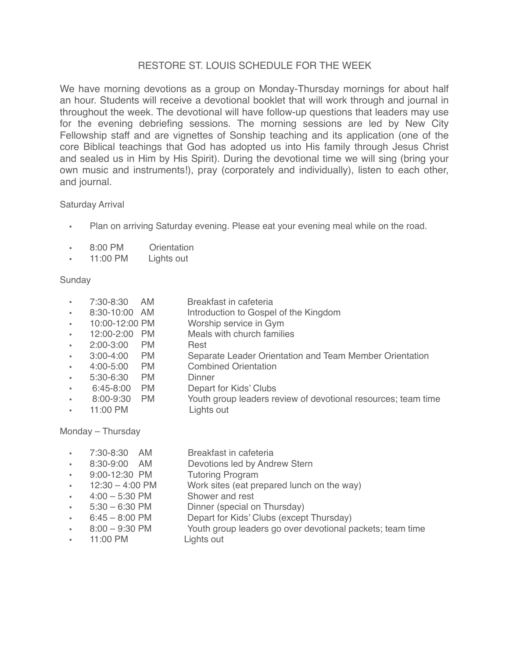## RESTORE ST. LOUIS SCHEDULE FOR THE WEEK

We have morning devotions as a group on Monday-Thursday mornings for about half an hour. Students will receive a devotional booklet that will work through and journal in throughout the week. The devotional will have follow-up questions that leaders may use for the evening debriefing sessions. The morning sessions are led by New City Fellowship staff and are vignettes of Sonship teaching and its application (one of the core Biblical teachings that God has adopted us into His family through Jesus Christ and sealed us in Him by His Spirit). During the devotional time we will sing (bring your own music and instruments!), pray (corporately and individually), listen to each other, and journal.

## Saturday Arrival

- **•** Plan on arriving Saturday evening. Please eat your evening meal while on the road.
- **•** 8:00 PM Orientation
- **•** 11:00 PM Lights out

## Sunday

**•** 7:30-8:30 AM Breakfast in cafeteria **•** 8:30-10:00 AM Introduction to Gospel of the Kingdom **•** 10:00-12:00 PM Worship service in Gym **Meals with church families •** 2:00-3:00 PM Rest **•** 3:00-4:00 PM Separate Leader Orientation and Team Member Orientation **Combined Orientation •** 5:30-6:30 PM Dinner **•** 6:45-8:00 PM Depart for Kids' Clubs **•** 8:00-9:30 PM Youth group leaders review of devotional resources; team time **Lights out** 

Monday – Thursday

- **•** 7:30-8:30 AM Breakfast in cafeteria
- **•** 8:30-9:00 AM Devotions led by Andrew Stern
- 
- **•** 9:00-12:30 PM Tutoring Program **Work sites (eat prepared lunch on the way)**
- **•** 4:00 5:30 PM Shower and rest
- **•** 5:30 6:30 PM Dinner (special on Thursday)
	- **•** 6:45 8:00 PM Depart for Kids' Clubs (except Thursday)
- Youth group leaders go over devotional packets; team time Lights out
	- **11:00 PM**